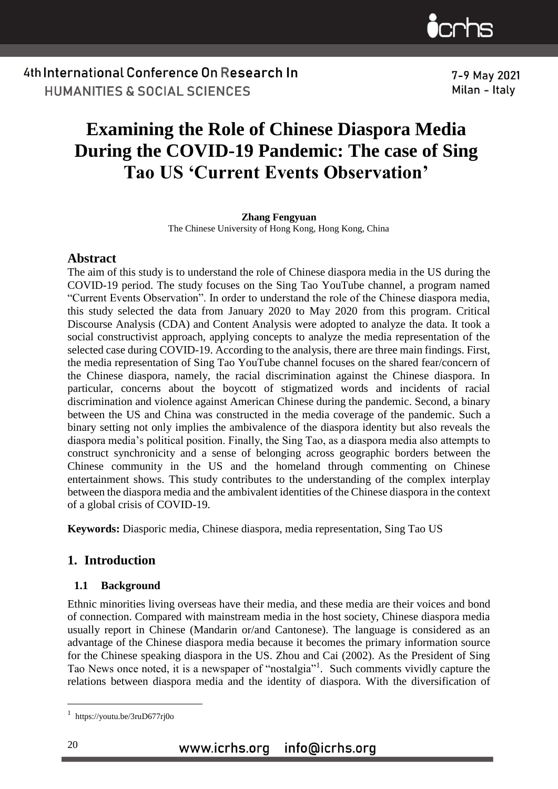

7-9 May 2021 Milan - Italy

4th International Conference On Research In **HUMANITIES & SOCIAL SCIENCES** 

## **Examining the Role of Chinese Diaspora Media During the COVID-19 Pandemic: The case of Sing Tao US 'Current Events Observation'**

#### **Zhang Fengyuan**

The Chinese University of Hong Kong, Hong Kong, China

#### **Abstract**

The aim of this study is to understand the role of Chinese diaspora media in the US during the COVID-19 period. The study focuses on the Sing Tao YouTube channel, a program named "Current Events Observation". In order to understand the role of the Chinese diaspora media, this study selected the data from January 2020 to May 2020 from this program. Critical Discourse Analysis (CDA) and Content Analysis were adopted to analyze the data. It took a social constructivist approach, applying concepts to analyze the media representation of the selected case during COVID-19. According to the analysis, there are three main findings. First, the media representation of Sing Tao YouTube channel focuses on the shared fear/concern of the Chinese diaspora, namely, the racial discrimination against the Chinese diaspora. In particular, concerns about the boycott of stigmatized words and incidents of racial discrimination and violence against American Chinese during the pandemic. Second, a binary between the US and China was constructed in the media coverage of the pandemic. Such a binary setting not only implies the ambivalence of the diaspora identity but also reveals the diaspora media's political position. Finally, the Sing Tao, as a diaspora media also attempts to construct synchronicity and a sense of belonging across geographic borders between the Chinese community in the US and the homeland through commenting on Chinese entertainment shows. This study contributes to the understanding of the complex interplay between the diaspora media and the ambivalent identities of the Chinese diaspora in the context of a global crisis of COVID-19.

**Keywords:** Diasporic media, Chinese diaspora, media representation, Sing Tao US

#### **1. Introduction**

#### **1.1 Background**

Ethnic minorities living overseas have their media, and these media are their voices and bond of connection. Compared with mainstream media in the host society, Chinese diaspora media usually report in Chinese (Mandarin or/and Cantonese). The language is considered as an advantage of the Chinese diaspora media because it becomes the primary information source for the Chinese speaking diaspora in the US. Zhou and Cai (2002). As the President of Sing Tao News once noted, it is a newspaper of "nostalgia"<sup>1</sup>. Such comments vividly capture the relations between diaspora media and the identity of diaspora. With the diversification of

1

<sup>1</sup> https://youtu.be/3ruD677rj0o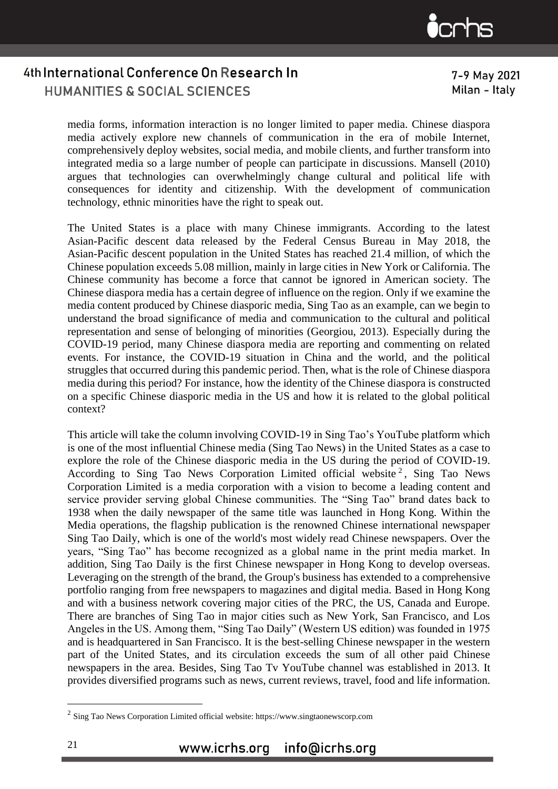

7-9 May 2021 Milan - Italy

media forms, information interaction is no longer limited to paper media. Chinese diaspora media actively explore new channels of communication in the era of mobile Internet, comprehensively deploy websites, social media, and mobile clients, and further transform into integrated media so a large number of people can participate in discussions. Mansell (2010) argues that technologies can overwhelmingly change cultural and political life with consequences for identity and citizenship. With the development of communication technology, ethnic minorities have the right to speak out.

The United States is a place with many Chinese immigrants. According to the latest Asian-Pacific descent data released by the Federal Census Bureau in May 2018, the Asian-Pacific descent population in the United States has reached 21.4 million, of which the Chinese population exceeds 5.08 million, mainly in large cities in New York or California. The Chinese community has become a force that cannot be ignored in American society. The Chinese diaspora media has a certain degree of influence on the region. Only if we examine the media content produced by Chinese diasporic media, Sing Tao as an example, can we begin to understand the broad significance of media and communication to the cultural and political representation and sense of belonging of minorities (Georgiou, 2013). Especially during the COVID-19 period, many Chinese diaspora media are reporting and commenting on related events. For instance, the COVID-19 situation in China and the world, and the political struggles that occurred during this pandemic period. Then, what is the role of Chinese diaspora media during this period? For instance, how the identity of the Chinese diaspora is constructed on a specific Chinese diasporic media in the US and how it is related to the global political context?

This article will take the column involving COVID-19 in Sing Tao's YouTube platform which is one of the most influential Chinese media (Sing Tao News) in the United States as a case to explore the role of the Chinese diasporic media in the US during the period of COVID-19. According to Sing Tao News Corporation Limited official website<sup>2</sup>, Sing Tao News Corporation Limited is a media corporation with a vision to become a leading content and service provider serving global Chinese communities. The "Sing Tao" brand dates back to 1938 when the daily newspaper of the same title was launched in Hong Kong. Within the Media operations, the flagship publication is the renowned Chinese international newspaper Sing Tao Daily, which is one of the world's most widely read Chinese newspapers. Over the years, "Sing Tao" has become recognized as a global name in the print media market. In addition, Sing Tao Daily is the first Chinese newspaper in Hong Kong to develop overseas. Leveraging on the strength of the brand, the Group's business has extended to a comprehensive portfolio ranging from free newspapers to magazines and digital media. Based in Hong Kong and with a business network covering major cities of the PRC, the US, Canada and Europe. There are branches of Sing Tao in major cities such as New York, San Francisco, and Los Angeles in the US. Among them, "Sing Tao Daily" (Western US edition) was founded in 1975 and is headquartered in San Francisco. It is the best-selling Chinese newspaper in the western part of the United States, and its circulation exceeds the sum of all other paid Chinese newspapers in the area. Besides, Sing Tao Tv YouTube channel was established in 2013. It provides diversified programs such as news, current reviews, travel, food and life information.

1

 $2$  Sing Tao News Corporation Limited official website: https://www.singtaonewscorp.com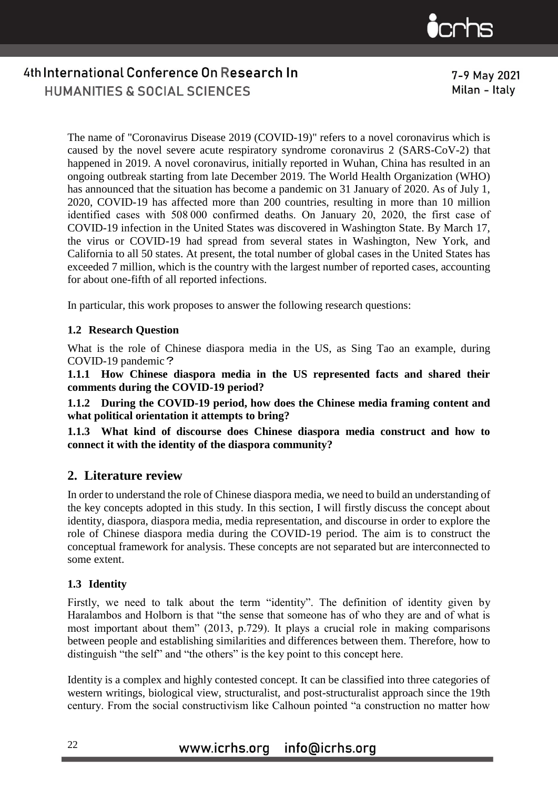

7-9 May 2021 Milan - Italy

The name of "Coronavirus Disease 2019 (COVID-19)" refers to a novel coronavirus which is caused by the novel severe acute respiratory syndrome coronavirus 2 (SARS-CoV-2) that happened in 2019. A novel coronavirus, initially reported in Wuhan, China has resulted in an ongoing outbreak starting from late December 2019. The World Health Organization (WHO) has announced that the situation has become a pandemic on 31 January of 2020. As of July 1, 2020, COVID-19 has affected more than 200 countries, resulting in more than 10 million identified cases with 508 000 confirmed deaths. On January 20, 2020, the first case of COVID-19 infection in the United States was discovered in Washington State. By March 17, the virus or COVID-19 had spread from several states in Washington, New York, and California to all 50 states. At present, the total number of global cases in the United States has exceeded 7 million, which is the country with the largest number of reported cases, accounting for about one-fifth of all reported infections.

In particular, this work proposes to answer the following research questions:

#### **1.2 Research Question**

What is the role of Chinese diaspora media in the US, as Sing Tao an example, during COVID-19 pandemic?

**1.1.1 How Chinese diaspora media in the US represented facts and shared their comments during the COVID-19 period?**

**1.1.2 During the COVID-19 period, how does the Chinese media framing content and what political orientation it attempts to bring?**

**1.1.3 What kind of discourse does Chinese diaspora media construct and how to connect it with the identity of the diaspora community?**

#### **2. Literature review**

In order to understand the role of Chinese diaspora media, we need to build an understanding of the key concepts adopted in this study. In this section, I will firstly discuss the concept about identity, diaspora, diaspora media, media representation, and discourse in order to explore the role of Chinese diaspora media during the COVID-19 period. The aim is to construct the conceptual framework for analysis. These concepts are not separated but are interconnected to some extent.

#### **1.3 Identity**

Firstly, we need to talk about the term "identity". The definition of identity given by Haralambos and Holborn is that "the sense that someone has of who they are and of what is most important about them" (2013, p.729). It plays a crucial role in making comparisons between people and establishing similarities and differences between them. Therefore, how to distinguish "the self" and "the others" is the key point to this concept here.

Identity is a complex and highly contested concept. It can be classified into three categories of western writings, biological view, structuralist, and post-structuralist approach since the 19th century. From the social constructivism like Calhoun pointed "a construction no matter how

### www.icrhs.org info@icrhs.org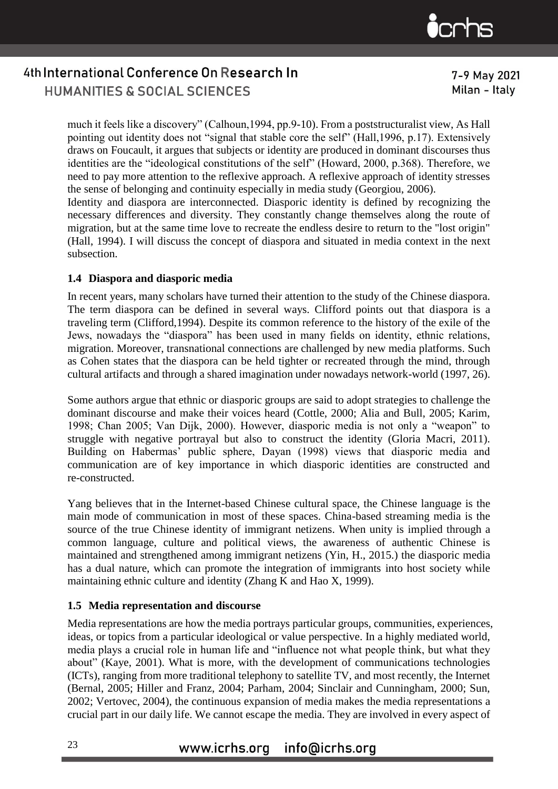

7-9 May 2021 Milan - Italy

**HUMANITIES & SOCIAL SCIENCES** 

much it feels like a discovery" (Calhoun,1994, pp.9-10). From a poststructuralist view, As Hall pointing out identity does not "signal that stable core the self" (Hall,1996, p.17). Extensively draws on Foucault, it argues that subjects or identity are produced in dominant discourses thus identities are the "ideological constitutions of the self" (Howard, 2000, p.368). Therefore, we need to pay more attention to the reflexive approach. A reflexive approach of identity stresses the sense of belonging and continuity especially in media study (Georgiou, 2006). Identity and diaspora are interconnected. Diasporic identity is defined by recognizing the

necessary differences and diversity. They constantly change themselves along the route of migration, but at the same time love to recreate the endless desire to return to the "lost origin" (Hall, 1994). I will discuss the concept of diaspora and situated in media context in the next subsection.

#### **1.4 Diaspora and diasporic media**

In recent years, many scholars have turned their attention to the study of the Chinese diaspora. The term diaspora can be defined in several ways. Clifford points out that diaspora is a traveling term (Clifford,1994). Despite its common reference to the history of the exile of the Jews, nowadays the "diaspora" has been used in many fields on identity, ethnic relations, migration. Moreover, transnational connections are challenged by new media platforms. Such as Cohen states that the diaspora can be held tighter or recreated through the mind, through cultural artifacts and through a shared imagination under nowadays network-world (1997, 26).

Some authors argue that ethnic or diasporic groups are said to adopt strategies to challenge the dominant discourse and make their voices heard (Cottle, 2000; Alia and Bull, 2005; Karim, 1998; Chan 2005; Van Dijk, 2000). However, diasporic media is not only a "weapon" to struggle with negative portrayal but also to construct the identity (Gloria Macri, 2011). Building on Habermas' public sphere, Dayan (1998) views that diasporic media and communication are of key importance in which diasporic identities are constructed and re-constructed.

Yang believes that in the Internet-based Chinese cultural space, the Chinese language is the main mode of communication in most of these spaces. China-based streaming media is the source of the true Chinese identity of immigrant netizens. When unity is implied through a common language, culture and political views, the awareness of authentic Chinese is maintained and strengthened among immigrant netizens (Yin, H., 2015.) the diasporic media has a dual nature, which can promote the integration of immigrants into host society while maintaining ethnic culture and identity (Zhang K and Hao X, 1999).

#### **1.5 Media representation and discourse**

Media representations are how the media portrays particular groups, communities, experiences, ideas, or topics from a particular ideological or value perspective. In a highly mediated world, media plays a crucial role in human life and "influence not what people think, but what they about" (Kaye, 2001). What is more, with the development of communications technologies (ICTs), ranging from more traditional telephony to satellite TV, and most recently, the Internet (Bernal, 2005; Hiller and Franz, 2004; Parham, 2004; Sinclair and Cunningham, 2000; Sun, 2002; Vertovec, 2004), the continuous expansion of media makes the media representations a crucial part in our daily life. We cannot escape the media. They are involved in every aspect of

## www.icrhs.org info@icrhs.org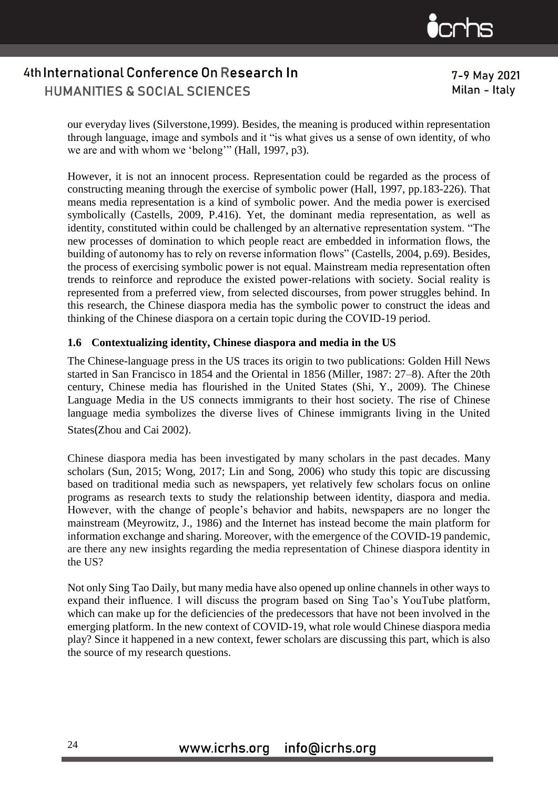

**HUMANITIES & SOCIAL SCIENCES** 

7-9 May 2021 Milan - Italy

our everyday lives (Silverstone,1999). Besides, the meaning is produced within representation through language, image and symbols and it "is what gives us a sense of own identity, of who we are and with whom we 'belong'" (Hall, 1997, p3).

However, it is not an innocent process. Representation could be regarded as the process of constructing meaning through the exercise of symbolic power (Hall, 1997, pp.183-226). That means media representation is a kind of symbolic power. And the media power is exercised symbolically (Castells, 2009, P.416). Yet, the dominant media representation, as well as identity, constituted within could be challenged by an alternative representation system. "The new processes of domination to which people react are embedded in information flows, the building of autonomy has to rely on reverse information flows" (Castells, 2004, p.69). Besides, the process of exercising symbolic power is not equal. Mainstream media representation often trends to reinforce and reproduce the existed power-relations with society. Social reality is represented from a preferred view, from selected discourses, from power struggles behind. In this research, the Chinese diaspora media has the symbolic power to construct the ideas and thinking of the Chinese diaspora on a certain topic during the COVID-19 period.

#### **1.6 Contextualizing identity, Chinese diaspora and media in the US**

The Chinese-language press in the US traces its origin to two publications: Golden Hill News started in San Francisco in 1854 and the Oriental in 1856 (Miller, 1987: 27–8). After the 20th century, Chinese media has flourished in the United States (Shi, Y., 2009). The Chinese Language Media in the US connects immigrants to their host society. The rise of Chinese language media symbolizes the diverse lives of Chinese immigrants living in the United States(Zhou and Cai 2002).

Chinese diaspora media has been investigated by many scholars in the past decades. Many scholars (Sun, 2015; Wong, 2017; Lin and Song, 2006) who study this topic are discussing based on traditional media such as newspapers, yet relatively few scholars focus on online programs as research texts to study the relationship between identity, diaspora and media. However, with the change of people's behavior and habits, newspapers are no longer the mainstream (Meyrowitz, J., 1986) and the Internet has instead become the main platform for information exchange and sharing. Moreover, with the emergence of the COVID-19 pandemic, are there any new insights regarding the media representation of Chinese diaspora identity in the US?

Not only Sing Tao Daily, but many media have also opened up online channels in other ways to expand their influence. I will discuss the program based on Sing Tao's YouTube platform, which can make up for the deficiencies of the predecessors that have not been involved in the emerging platform. In the new context of COVID-19, what role would Chinese diaspora media play? Since it happened in a new context, fewer scholars are discussing this part, which is also the source of my research questions.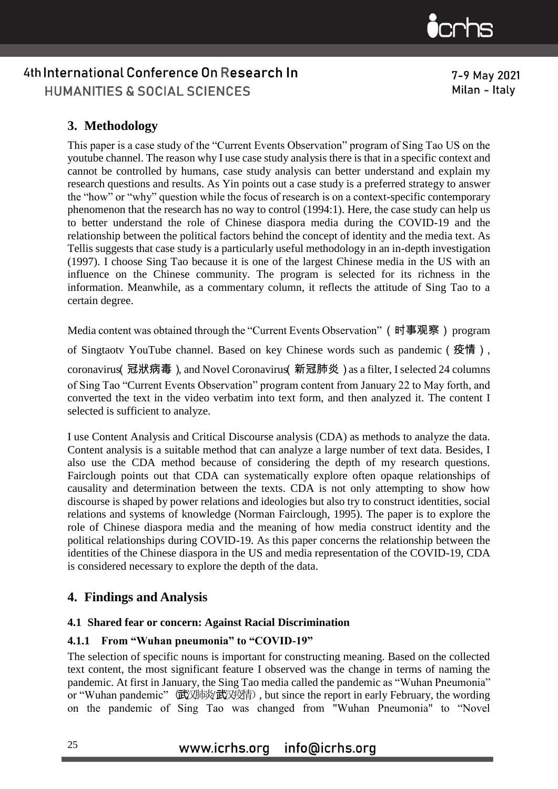

### **3. Methodology**

This paper is a case study of the "Current Events Observation" program of Sing Tao US on the youtube channel. The reason why I use case study analysis there is that in a specific context and cannot be controlled by humans, case study analysis can better understand and explain my research questions and results. As Yin points out a case study is a preferred strategy to answer the "how" or "why" question while the focus of research is on a context-specific contemporary phenomenon that the research has no way to control (1994:1). Here, the case study can help us to better understand the role of Chinese diaspora media during the COVID-19 and the relationship between the political factors behind the concept of identity and the media text. As Tellis suggests that case study is a particularly useful methodology in an in-depth investigation (1997). I choose Sing Tao because it is one of the largest Chinese media in the US with an influence on the Chinese community. The program is selected for its richness in the information. Meanwhile, as a commentary column, it reflects the attitude of Sing Tao to a certain degree.

Media content was obtained through the "Current Events Observation" (时事观察) program

of Singtaotv YouTube channel. Based on key Chinese words such as pandemic (疫情),

coronavirus(冠狀病毒), and Novel Coronavirus(新冠肺炎)as a filter, I selected 24 columns of Sing Tao "Current Events Observation" program content from January 22 to May forth, and converted the text in the video verbatim into text form, and then analyzed it. The content I selected is sufficient to analyze.

I use Content Analysis and Critical Discourse analysis (CDA) as methods to analyze the data. Content analysis is a suitable method that can analyze a large number of text data. Besides, I also use the CDA method because of considering the depth of my research questions. Fairclough points out that CDA can systematically explore often opaque relationships of causality and determination between the texts. CDA is not only attempting to show how discourse is shaped by power relations and ideologies but also try to construct identities, social relations and systems of knowledge (Norman Fairclough, 1995). The paper is to explore the role of Chinese diaspora media and the meaning of how media construct identity and the political relationships during COVID-19. As this paper concerns the relationship between the identities of the Chinese diaspora in the US and media representation of the COVID-19, CDA is considered necessary to explore the depth of the data.

#### **4. Findings and Analysis**

#### **4.1 Shared fear or concern: Against Racial Discrimination**

#### **4.1.1 From "Wuhan pneumonia" to "COVID-19"**

The selection of specific nouns is important for constructing meaning. Based on the collected text content, the most significant feature I observed was the change in terms of naming the pandemic. At first in January, the Sing Tao media called the pandemic as "Wuhan Pneumonia" or "Wuhan pandemic" (武汉肺炎武汉疫情), but since the report in early February, the wording on the pandemic of Sing Tao was changed from "Wuhan Pneumonia" to "Novel

7-9 May 2021 Milan - Italy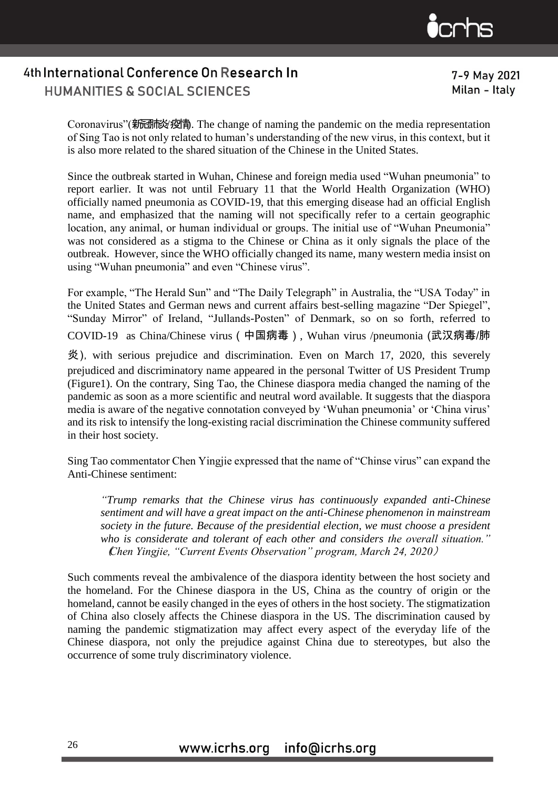

7-9 May 2021 Milan - Italy

Coronavirus"(新國形) 瘦骨. The change of naming the pandemic on the media representation of Sing Tao is not only related to human's understanding of the new virus, in this context, but it is also more related to the shared situation of the Chinese in the United States.

Since the outbreak started in Wuhan, Chinese and foreign media used "Wuhan pneumonia" to report earlier. It was not until February 11 that the World Health Organization (WHO) officially named pneumonia as COVID-19, that this emerging disease had an official English name, and emphasized that the naming will not specifically refer to a certain geographic location, any animal, or human individual or groups. The initial use of "Wuhan Pneumonia" was not considered as a stigma to the Chinese or China as it only signals the place of the outbreak. However, since the WHO officially changed its name, many western media insist on using "Wuhan pneumonia" and even "Chinese virus".

For example, "The Herald Sun" and "The Daily Telegraph" in Australia, the "USA Today" in the United States and German news and current affairs best-selling magazine "Der Spiegel", "Sunday Mirror" of Ireland, "Jullands-Posten" of Denmark, so on so forth, referred to COVID-19 as China/Chinese virus(中国病毒), Wuhan virus /pneumonia (武汉病毒/肺

 $\frac{4}{3}$ ), with serious prejudice and discrimination. Even on March 17, 2020, this severely prejudiced and discriminatory name appeared in the personal Twitter of US President Trump (Figure1). On the contrary, Sing Tao, the Chinese diaspora media changed the naming of the pandemic as soon as a more scientific and neutral word available. It suggests that the diaspora media is aware of the negative connotation conveyed by 'Wuhan pneumonia' or 'China virus' and its risk to intensify the long-existing racial discrimination the Chinese community suffered in their host society.

Sing Tao commentator Chen Yingjie expressed that the name of "Chinse virus" can expand the Anti-Chinese sentiment:

*"Trump remarks that the Chinese virus has continuously expanded anti-Chinese sentiment and will have a great impact on the anti-Chinese phenomenon in mainstream society in the future. Because of the presidential election, we must choose a president who is considerate and tolerant of each other and considers the overall situation."*  (*Chen Yingjie, "Current Events Observation" program, March 24, 2020*)

Such comments reveal the ambivalence of the diaspora identity between the host society and the homeland. For the Chinese diaspora in the US, China as the country of origin or the homeland, cannot be easily changed in the eyes of others in the host society. The stigmatization of China also closely affects the Chinese diaspora in the US. The discrimination caused by naming the pandemic stigmatization may affect every aspect of the everyday life of the Chinese diaspora, not only the prejudice against China due to stereotypes, but also the occurrence of some truly discriminatory violence.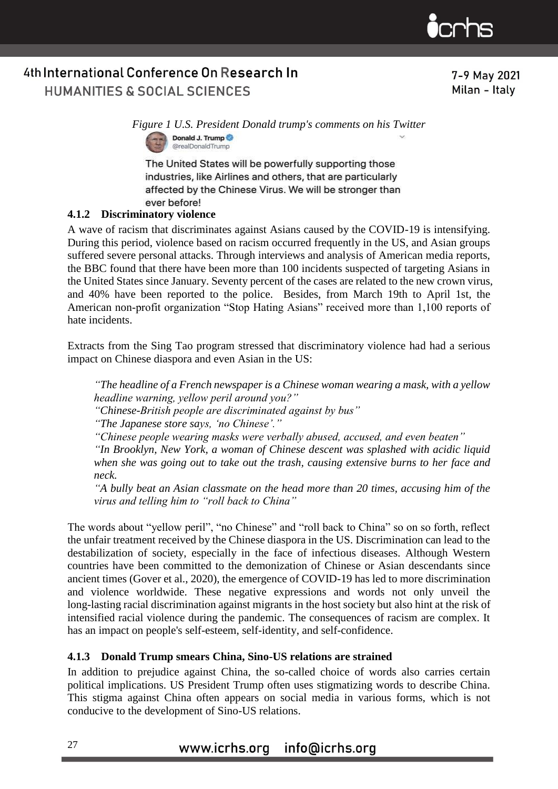

7-9 May 2021 Milan - Italy

*Figure 1 U.S. President Donald trump's comments on his Twitter*  Donald J. Trump @realDonaldTrump

The United States will be powerfully supporting those industries, like Airlines and others, that are particularly affected by the Chinese Virus. We will be stronger than ever before!

#### **4.1.2 Discriminatory violence**

A wave of racism that discriminates against Asians caused by the COVID-19 is intensifying. During this period, violence based on racism occurred frequently in the US, and Asian groups suffered severe personal attacks. Through interviews and analysis of American media reports, the BBC found that there have been more than 100 incidents suspected of targeting Asians in the United States since January. Seventy percent of the cases are related to the new crown virus, and 40% have been reported to the police. Besides, from March 19th to April 1st, the American non-profit organization "Stop Hating Asians" received more than 1,100 reports of hate incidents.

Extracts from the Sing Tao program stressed that discriminatory violence had had a serious impact on Chinese diaspora and even Asian in the US:

*"The headline of a French newspaper is a Chinese woman wearing a mask, with a yellow headline warning, yellow peril around you?"*

*"Chinese-British people are discriminated against by bus"*

*"The Japanese store says, 'no Chinese'."*

*"Chinese people wearing masks were verbally abused, accused, and even beaten"*

*"In Brooklyn, New York, a woman of Chinese descent was splashed with acidic liquid when she was going out to take out the trash, causing extensive burns to her face and neck.*

*"A bully beat an Asian classmate on the head more than 20 times, accusing him of the virus and telling him to "roll back to China"*

The words about "yellow peril", "no Chinese" and "roll back to China" so on so forth, reflect the unfair treatment received by the Chinese diaspora in the US. Discrimination can lead to the destabilization of society, especially in the face of infectious diseases. Although Western countries have been committed to the demonization of Chinese or Asian descendants since ancient times (Gover et al., 2020), the emergence of COVID-19 has led to more discrimination and violence worldwide. These negative expressions and words not only unveil the long-lasting racial discrimination against migrants in the host society but also hint at the risk of intensified racial violence during the pandemic. The consequences of racism are complex. It has an impact on people's self-esteem, self-identity, and self-confidence.

#### **4.1.3 Donald Trump smears China, Sino-US relations are strained**

In addition to prejudice against China, the so-called choice of words also carries certain political implications. US President Trump often uses stigmatizing words to describe China. This stigma against China often appears on social media in various forms, which is not conducive to the development of Sino-US relations.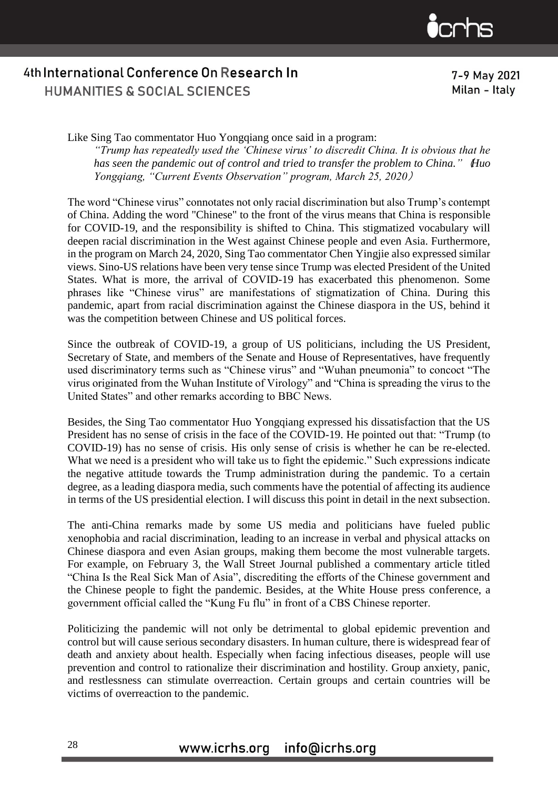

7-9 May 2021 Milan - Italy

Like Sing Tao commentator Huo Yongqiang once said in a program: *"Trump has repeatedly used the 'Chinese virus' to discredit China. It is obvious that he has seen the pandemic out of control and tried to transfer the problem to China."*(*Huo Yongqiang, "Current Events Observation" program, March 25, 2020*)

The word "Chinese virus" connotates not only racial discrimination but also Trump's contempt of China. Adding the word "Chinese" to the front of the virus means that China is responsible for COVID-19, and the responsibility is shifted to China. This stigmatized vocabulary will deepen racial discrimination in the West against Chinese people and even Asia. Furthermore, in the program on March 24, 2020, Sing Tao commentator Chen Yingjie also expressed similar views. Sino-US relations have been very tense since Trump was elected President of the United States. What is more, the arrival of COVID-19 has exacerbated this phenomenon. Some phrases like "Chinese virus" are manifestations of stigmatization of China. During this pandemic, apart from racial discrimination against the Chinese diaspora in the US, behind it was the competition between Chinese and US political forces.

Since the outbreak of COVID-19, a group of US politicians, including the US President, Secretary of State, and members of the Senate and House of Representatives, have frequently used discriminatory terms such as "Chinese virus" and "Wuhan pneumonia" to concoct "The virus originated from the Wuhan Institute of Virology" and "China is spreading the virus to the United States" and other remarks according to BBC News.

Besides, the Sing Tao commentator Huo Yongqiang expressed his dissatisfaction that the US President has no sense of crisis in the face of the COVID-19. He pointed out that: "Trump (to COVID-19) has no sense of crisis. His only sense of crisis is whether he can be re-elected. What we need is a president who will take us to fight the epidemic." Such expressions indicate the negative attitude towards the Trump administration during the pandemic. To a certain degree, as a leading diaspora media, such comments have the potential of affecting its audience in terms of the US presidential election. I will discuss this point in detail in the next subsection.

The anti-China remarks made by some US media and politicians have fueled public xenophobia and racial discrimination, leading to an increase in verbal and physical attacks on Chinese diaspora and even Asian groups, making them become the most vulnerable targets. For example, on February 3, the Wall Street Journal published a commentary article titled "China Is the Real Sick Man of Asia", discrediting the efforts of the Chinese government and the Chinese people to fight the pandemic. Besides, at the White House press conference, a government official called the "Kung Fu flu" in front of a CBS Chinese reporter.

Politicizing the pandemic will not only be detrimental to global epidemic prevention and control but will cause serious secondary disasters. In human culture, there is widespread fear of death and anxiety about health. Especially when facing infectious diseases, people will use prevention and control to rationalize their discrimination and hostility. Group anxiety, panic, and restlessness can stimulate overreaction. Certain groups and certain countries will be victims of overreaction to the pandemic.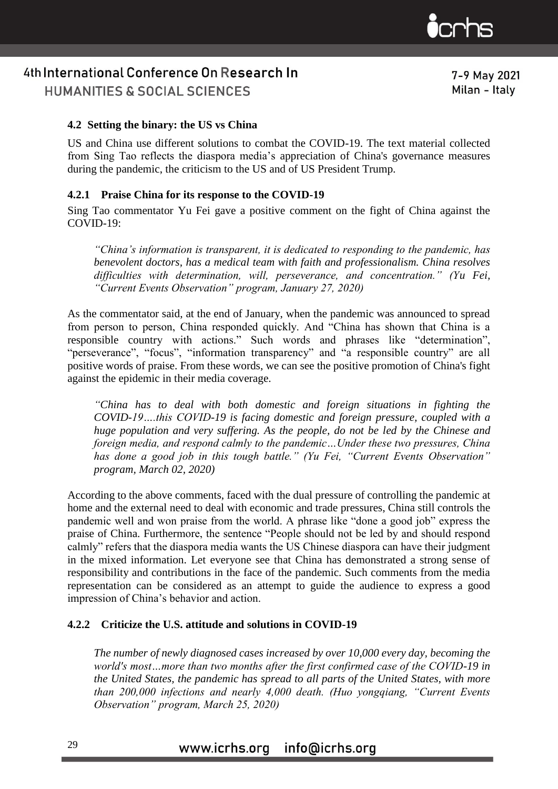

**HUMANITIES & SOCIAL SCIENCES** 

7-9 May 2021 Milan - Italy

#### **4.2 Setting the binary: the US vs China**

US and China use different solutions to combat the COVID-19. The text material collected from Sing Tao reflects the diaspora media's appreciation of China's governance measures during the pandemic, the criticism to the US and of US President Trump.

#### **4.2.1 Praise China for its response to the COVID-19**

Sing Tao commentator Yu Fei gave a positive comment on the fight of China against the  $COVID-19:$ 

*"China's information is transparent, it is dedicated to responding to the pandemic, has benevolent doctors, has a medical team with faith and professionalism. China resolves difficulties with determination, will, perseverance, and concentration." (Yu Fei, "Current Events Observation" program, January 27, 2020)*

As the commentator said, at the end of January, when the pandemic was announced to spread from person to person, China responded quickly. And "China has shown that China is a responsible country with actions." Such words and phrases like "determination", "perseverance", "focus", "information transparency" and "a responsible country" are all positive words of praise. From these words, we can see the positive promotion of China's fight against the epidemic in their media coverage.

*"China has to deal with both domestic and foreign situations in fighting the COVID-19….this COVID-19 is facing domestic and foreign pressure, coupled with a huge population and very suffering. As the people, do not be led by the Chinese and foreign media, and respond calmly to the pandemic…Under these two pressures, China has done a good job in this tough battle." (Yu Fei, "Current Events Observation" program, March 02, 2020)*

According to the above comments, faced with the dual pressure of controlling the pandemic at home and the external need to deal with economic and trade pressures, China still controls the pandemic well and won praise from the world. A phrase like "done a good job" express the praise of China. Furthermore, the sentence "People should not be led by and should respond calmly" refers that the diaspora media wants the US Chinese diaspora can have their judgment in the mixed information. Let everyone see that China has demonstrated a strong sense of responsibility and contributions in the face of the pandemic. Such comments from the media representation can be considered as an attempt to guide the audience to express a good impression of China's behavior and action.

#### **4.2.2 Criticize the U.S. attitude and solutions in COVID-19**

*The number of newly diagnosed cases increased by over 10,000 every day, becoming the world's most…more than two months after the first confirmed case of the COVID-19 in the United States, the pandemic has spread to all parts of the United States, with more than 200,000 infections and nearly 4,000 death. (Huo yongqiang, "Current Events Observation" program, March 25, 2020)*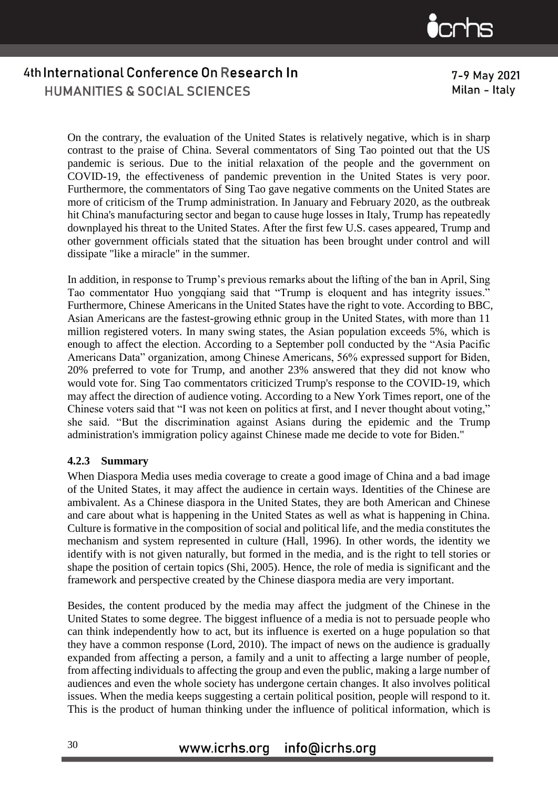

7-9 May 2021 Milan - Italy

On the contrary, the evaluation of the United States is relatively negative, which is in sharp contrast to the praise of China. Several commentators of Sing Tao pointed out that the US pandemic is serious. Due to the initial relaxation of the people and the government on COVID-19, the effectiveness of pandemic prevention in the United States is very poor. Furthermore, the commentators of Sing Tao gave negative comments on the United States are more of criticism of the Trump administration. In January and February 2020, as the outbreak hit China's manufacturing sector and began to cause huge losses in Italy, Trump has repeatedly downplayed his threat to the United States. After the first few U.S. cases appeared, Trump and other government officials stated that the situation has been brought under control and will dissipate "like a miracle" in the summer.

In addition, in response to Trump's previous remarks about the lifting of the ban in April, Sing Tao commentator Huo yongqiang said that "Trump is eloquent and has integrity issues." Furthermore, Chinese Americans in the United States have the right to vote. According to BBC, Asian Americans are the fastest-growing ethnic group in the United States, with more than 11 million registered voters. In many swing states, the Asian population exceeds 5%, which is enough to affect the election. According to a September poll conducted by the "Asia Pacific Americans Data" organization, among Chinese Americans, 56% expressed support for Biden, 20% preferred to vote for Trump, and another 23% answered that they did not know who would vote for. Sing Tao commentators criticized Trump's response to the COVID-19, which may affect the direction of audience voting. According to a New York Times report, one of the Chinese voters said that "I was not keen on politics at first, and I never thought about voting," she said. "But the discrimination against Asians during the epidemic and the Trump administration's immigration policy against Chinese made me decide to vote for Biden."

#### **4.2.3 Summary**

When Diaspora Media uses media coverage to create a good image of China and a bad image of the United States, it may affect the audience in certain ways. Identities of the Chinese are ambivalent. As a Chinese diaspora in the United States, they are both American and Chinese and care about what is happening in the United States as well as what is happening in China. Culture is formative in the composition of social and political life, and the media constitutes the mechanism and system represented in culture (Hall, 1996). In other words, the identity we identify with is not given naturally, but formed in the media, and is the right to tell stories or shape the position of certain topics (Shi, 2005). Hence, the role of media is significant and the framework and perspective created by the Chinese diaspora media are very important.

Besides, the content produced by the media may affect the judgment of the Chinese in the United States to some degree. The biggest influence of a media is not to persuade people who can think independently how to act, but its influence is exerted on a huge population so that they have a common response (Lord, 2010). The impact of news on the audience is gradually expanded from affecting a person, a family and a unit to affecting a large number of people, from affecting individuals to affecting the group and even the public, making a large number of audiences and even the whole society has undergone certain changes. It also involves political issues. When the media keeps suggesting a certain political position, people will respond to it. This is the product of human thinking under the influence of political information, which is

#### info@icrhs.org www.icrhs.org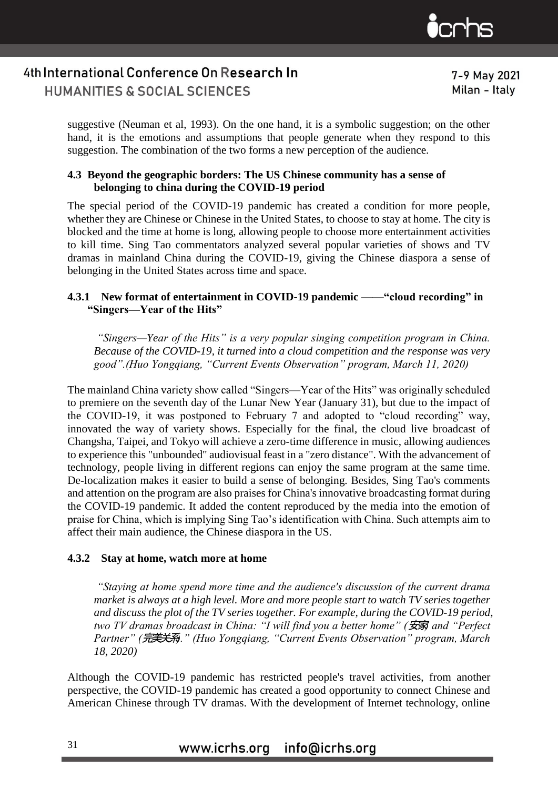

7-9 May 2021 Milan - Italy

suggestive (Neuman et al, 1993). On the one hand, it is a symbolic suggestion; on the other hand, it is the emotions and assumptions that people generate when they respond to this suggestion. The combination of the two forms a new perception of the audience.

#### **4.3 Beyond the geographic borders: The US Chinese community has a sense of belonging to china during the COVID-19 period**

The special period of the COVID-19 pandemic has created a condition for more people, whether they are Chinese or Chinese in the United States, to choose to stay at home. The city is blocked and the time at home is long, allowing people to choose more entertainment activities to kill time. Sing Tao commentators analyzed several popular varieties of shows and TV dramas in mainland China during the COVID-19, giving the Chinese diaspora a sense of belonging in the United States across time and space.

#### **4.3.1 New format of entertainment in COVID-19 pandemic ——"cloud recording" in "Singers—Year of the Hits"**

*"Singers—Year of the Hits" is a very popular singing competition program in China. Because of the COVID-19, it turned into a cloud competition and the response was very good".(Huo Yongqiang, "Current Events Observation" program, March 11, 2020)*

The mainland China variety show called "Singers—Year of the Hits" was originally scheduled to premiere on the seventh day of the Lunar New Year (January 31), but due to the impact of the COVID-19, it was postponed to February 7 and adopted to "cloud recording" way, innovated the way of variety shows. Especially for the final, the cloud live broadcast of Changsha, Taipei, and Tokyo will achieve a zero-time difference in music, allowing audiences to experience this "unbounded" audiovisual feast in a "zero distance". With the advancement of technology, people living in different regions can enjoy the same program at the same time. De-localization makes it easier to build a sense of belonging. Besides, Sing Tao's comments and attention on the program are also praises for China's innovative broadcasting format during the COVID-19 pandemic. It added the content reproduced by the media into the emotion of praise for China, which is implying Sing Tao's identification with China. Such attempts aim to affect their main audience, the Chinese diaspora in the US.

#### **4.3.2 Stay at home, watch more at home**

*"Staying at home spend more time and the audience's discussion of the current drama market is always at a high level. More and more people start to watch TV series together and discuss the plot of the TV series together. For example, during the COVID-19 period, two TV dramas broadcast in China: "I will find you a better home" (*安家*) and "Perfect Partner" (*完美关系*)." (Huo Yongqiang, "Current Events Observation" program, March 18, 2020)* 

Although the COVID-19 pandemic has restricted people's travel activities, from another perspective, the COVID-19 pandemic has created a good opportunity to connect Chinese and American Chinese through TV dramas. With the development of Internet technology, online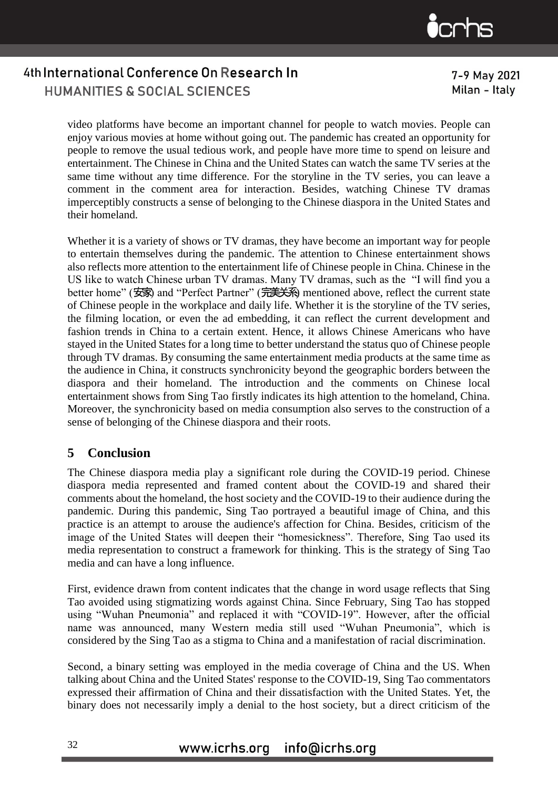

7-9 May 2021 Milan - Italy

video platforms have become an important channel for people to watch movies. People can enjoy various movies at home without going out. The pandemic has created an opportunity for people to remove the usual tedious work, and people have more time to spend on leisure and entertainment. The Chinese in China and the United States can watch the same TV series at the same time without any time difference. For the storyline in the TV series, you can leave a comment in the comment area for interaction. Besides, watching Chinese TV dramas imperceptibly constructs a sense of belonging to the Chinese diaspora in the United States and their homeland.

Whether it is a variety of shows or TV dramas, they have become an important way for people to entertain themselves during the pandemic. The attention to Chinese entertainment shows also reflects more attention to the entertainment life of Chinese people in China. Chinese in the US like to watch Chinese urban TV dramas. Many TV dramas, such as the "I will find you a better home" (安家) and "Perfect Partner" (完美关系) mentioned above, reflect the current state of Chinese people in the workplace and daily life. Whether it is the storyline of the TV series, the filming location, or even the ad embedding, it can reflect the current development and fashion trends in China to a certain extent. Hence, it allows Chinese Americans who have stayed in the United States for a long time to better understand the status quo of Chinese people through TV dramas. By consuming the same entertainment media products at the same time as the audience in China, it constructs synchronicity beyond the geographic borders between the diaspora and their homeland. The introduction and the comments on Chinese local entertainment shows from Sing Tao firstly indicates its high attention to the homeland, China. Moreover, the synchronicity based on media consumption also serves to the construction of a sense of belonging of the Chinese diaspora and their roots.

#### **5 Conclusion**

The Chinese diaspora media play a significant role during the COVID-19 period. Chinese diaspora media represented and framed content about the COVID-19 and shared their comments about the homeland, the host society and the COVID-19 to their audience during the pandemic. During this pandemic, Sing Tao portrayed a beautiful image of China, and this practice is an attempt to arouse the audience's affection for China. Besides, criticism of the image of the United States will deepen their "homesickness". Therefore, Sing Tao used its media representation to construct a framework for thinking. This is the strategy of Sing Tao media and can have a long influence.

First, evidence drawn from content indicates that the change in word usage reflects that Sing Tao avoided using stigmatizing words against China. Since February, Sing Tao has stopped using "Wuhan Pneumonia" and replaced it with "COVID-19". However, after the official name was announced, many Western media still used "Wuhan Pneumonia", which is considered by the Sing Tao as a stigma to China and a manifestation of racial discrimination.

Second, a binary setting was employed in the media coverage of China and the US. When talking about China and the United States' response to the COVID-19, Sing Tao commentators expressed their affirmation of China and their dissatisfaction with the United States. Yet, the binary does not necessarily imply a denial to the host society, but a direct criticism of the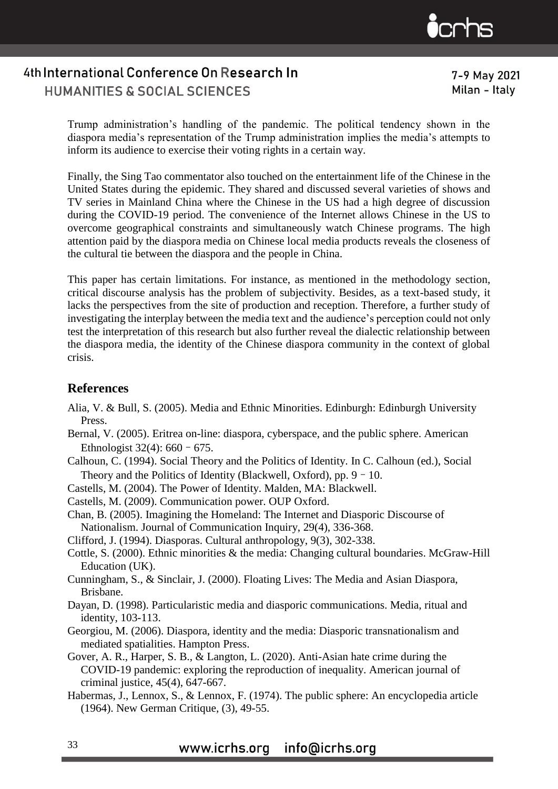

7-9 May 2021 Milan - Italy

Trump administration's handling of the pandemic. The political tendency shown in the diaspora media's representation of the Trump administration implies the media's attempts to inform its audience to exercise their voting rights in a certain way.

Finally, the Sing Tao commentator also touched on the entertainment life of the Chinese in the United States during the epidemic. They shared and discussed several varieties of shows and TV series in Mainland China where the Chinese in the US had a high degree of discussion during the COVID-19 period. The convenience of the Internet allows Chinese in the US to overcome geographical constraints and simultaneously watch Chinese programs. The high attention paid by the diaspora media on Chinese local media products reveals the closeness of the cultural tie between the diaspora and the people in China.

This paper has certain limitations. For instance, as mentioned in the methodology section, critical discourse analysis has the problem of subjectivity. Besides, as a text-based study, it lacks the perspectives from the site of production and reception. Therefore, a further study of investigating the interplay between the media text and the audience's perception could not only test the interpretation of this research but also further reveal the dialectic relationship between the diaspora media, the identity of the Chinese diaspora community in the context of global crisis.

#### **References**

- Alia, V. & Bull, S. (2005). Media and Ethnic Minorities. Edinburgh: Edinburgh University Press.
- Bernal, V. (2005). Eritrea on-line: diaspora, cyberspace, and the public sphere. American Ethnologist  $32(4)$ : 660 – 675.
- Calhoun, C. (1994). Social Theory and the Politics of Identity. In C. Calhoun (ed.), Social Theory and the Politics of Identity (Blackwell, Oxford), pp.  $9 - 10$ .

Castells, M. (2004). The Power of Identity. Malden, MA: Blackwell.

Castells, M. (2009). Communication power. OUP Oxford.

- Chan, B. (2005). Imagining the Homeland: The Internet and Diasporic Discourse of Nationalism. Journal of Communication Inquiry, 29(4), 336-368.
- Clifford, J. (1994). Diasporas. Cultural anthropology, 9(3), 302-338.
- Cottle, S. (2000). Ethnic minorities & the media: Changing cultural boundaries. McGraw-Hill Education (UK).
- Cunningham, S., & Sinclair, J. (2000). Floating Lives: The Media and Asian Diaspora, Brisbane.
- Dayan, D. (1998). Particularistic media and diasporic communications. Media, ritual and identity, 103-113.
- Georgiou, M. (2006). Diaspora, identity and the media: Diasporic transnationalism and mediated spatialities. Hampton Press.
- Gover, A. R., Harper, S. B., & Langton, L. (2020). Anti-Asian hate crime during the COVID-19 pandemic: exploring the reproduction of inequality. American journal of criminal justice, 45(4), 647-667.
- Habermas, J., Lennox, S., & Lennox, F. (1974). The public sphere: An encyclopedia article (1964). New German Critique, (3), 49-55.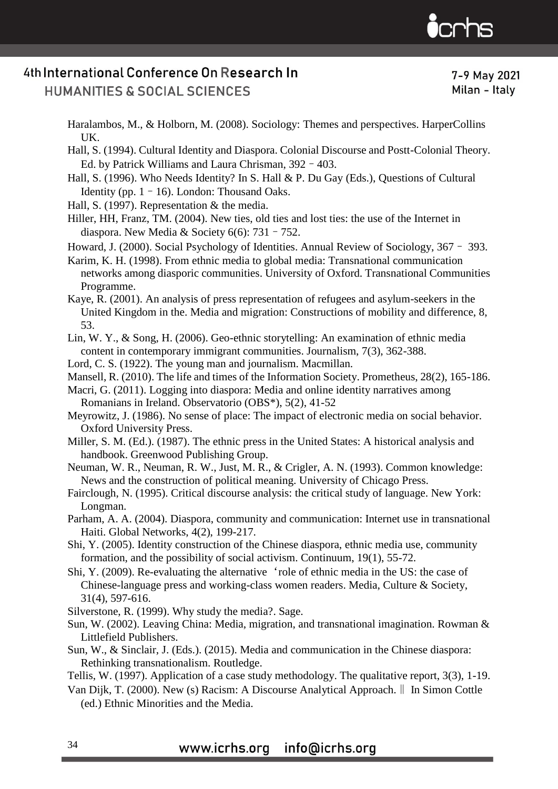

**HUMANITIES & SOCIAL SCIENCES** 

7-9 May 2021 Milan - Italy

Haralambos, M., & Holborn, M. (2008). Sociology: Themes and perspectives. HarperCollins UK.

Hall, S. (1994). Cultural Identity and Diaspora. Colonial Discourse and Postt-Colonial Theory. Ed. by Patrick Williams and Laura Chrisman, 392–403.

- Hall, S. (1996). Who Needs Identity? In S. Hall & P. Du Gay (Eds.), Questions of Cultural Identity (pp.  $1 - 16$ ). London: Thousand Oaks.
- Hall, S. (1997). Representation & the media.
- Hiller, HH, Franz, TM. (2004). New ties, old ties and lost ties: the use of the Internet in diaspora. New Media & Society  $6(6)$ : 731 – 752.

Howard, J. (2000). Social Psychology of Identities. Annual Review of Sociology, 367– 393.

- Karim, K. H. (1998). From ethnic media to global media: Transnational communication networks among diasporic communities. University of Oxford. Transnational Communities Programme.
- Kaye, R. (2001). An analysis of press representation of refugees and asylum-seekers in the United Kingdom in the. Media and migration: Constructions of mobility and difference, 8, 53.
- Lin, W. Y., & Song, H. (2006). Geo-ethnic storytelling: An examination of ethnic media content in contemporary immigrant communities. Journalism, 7(3), 362-388.
- Lord, C. S. (1922). The young man and journalism. Macmillan.
- Mansell, R. (2010). The life and times of the Information Society. Prometheus, 28(2), 165-186.
- Macri, G. (2011). Logging into diaspora: Media and online identity narratives among Romanians in Ireland. Observatorio (OBS\*), 5(2), 41-52
- Meyrowitz, J. (1986). No sense of place: The impact of electronic media on social behavior. Oxford University Press.
- Miller, S. M. (Ed.). (1987). The ethnic press in the United States: A historical analysis and handbook. Greenwood Publishing Group.
- Neuman, W. R., Neuman, R. W., Just, M. R., & Crigler, A. N. (1993). Common knowledge: News and the construction of political meaning. University of Chicago Press.
- Fairclough, N. (1995). Critical discourse analysis: the critical study of language. New York: Longman.
- Parham, A. A. (2004). Diaspora, community and communication: Internet use in transnational Haiti. Global Networks, 4(2), 199-217.
- Shi, Y. (2005). Identity construction of the Chinese diaspora, ethnic media use, community formation, and the possibility of social activism. Continuum, 19(1), 55-72.
- Shi, Y. (2009). Re-evaluating the alternative'role of ethnic media in the US: the case of Chinese-language press and working-class women readers. Media, Culture & Society, 31(4), 597-616.
- Silverstone, R. (1999). Why study the media?. Sage.
- Sun, W. (2002). Leaving China: Media, migration, and transnational imagination. Rowman & Littlefield Publishers.
- Sun, W., & Sinclair, J. (Eds.). (2015). Media and communication in the Chinese diaspora: Rethinking transnationalism. Routledge.
- Tellis, W. (1997). Application of a case study methodology. The qualitative report, 3(3), 1-19.
- Van Dijk, T. (2000). New (s) Racism: A Discourse Analytical Approach.‖ In Simon Cottle (ed.) Ethnic Minorities and the Media.